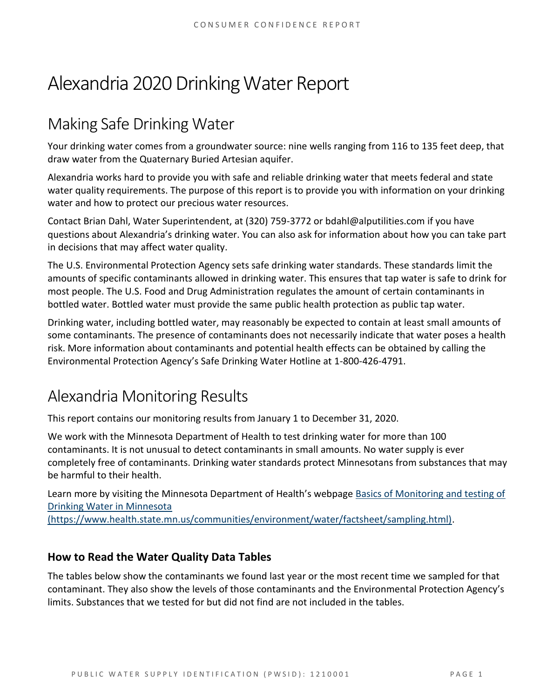# Alexandria 2020 Drinking Water Report

# Making Safe Drinking Water

Your drinking water comes from a groundwater source: nine wells ranging from 116 to 135 feet deep, that draw water from the Quaternary Buried Artesian aquifer.

Alexandria works hard to provide you with safe and reliable drinking water that meets federal and state water quality requirements. The purpose of this report is to provide you with information on your drinking water and how to protect our precious water resources.

Contact Brian Dahl, Water Superintendent, at (320) 759-3772 or bdahl@alputilities.com if you have questions about Alexandria's drinking water. You can also ask for information about how you can take part in decisions that may affect water quality.

The U.S. Environmental Protection Agency sets safe drinking water standards. These standards limit the amounts of specific contaminants allowed in drinking water. This ensures that tap water is safe to drink for most people. The U.S. Food and Drug Administration regulates the amount of certain contaminants in bottled water. Bottled water must provide the same public health protection as public tap water.

Drinking water, including bottled water, may reasonably be expected to contain at least small amounts of some contaminants. The presence of contaminants does not necessarily indicate that water poses a health risk. More information about contaminants and potential health effects can be obtained by calling the Environmental Protection Agency's Safe Drinking Water Hotline at 1-800-426-4791.

# Alexandria Monitoring Results

This report contains our monitoring results from January 1 to December 31, 2020.

We work with the Minnesota Department of Health to test drinking water for more than 100 contaminants. It is not unusual to detect contaminants in small amounts. No water supply is ever completely free of contaminants. Drinking water standards protect Minnesotans from substances that may be harmful to their health.

Learn more by visiting the Minnesota Department of Health's webpage [Basics of Monitoring and testing of](https://www.health.state.mn.us/communities/environment/water/factsheet/sampling.html)  [Drinking Water in Minnesota](https://www.health.state.mn.us/communities/environment/water/factsheet/sampling.html) 

[\(https://www.health.state.mn.us/communities/environment/water/factsheet/sampling.html\).](https://www.health.state.mn.us/communities/environment/water/factsheet/sampling.html)

## **How to Read the Water Quality Data Tables**

The tables below show the contaminants we found last year or the most recent time we sampled for that contaminant. They also show the levels of those contaminants and the Environmental Protection Agency's limits. Substances that we tested for but did not find are not included in the tables.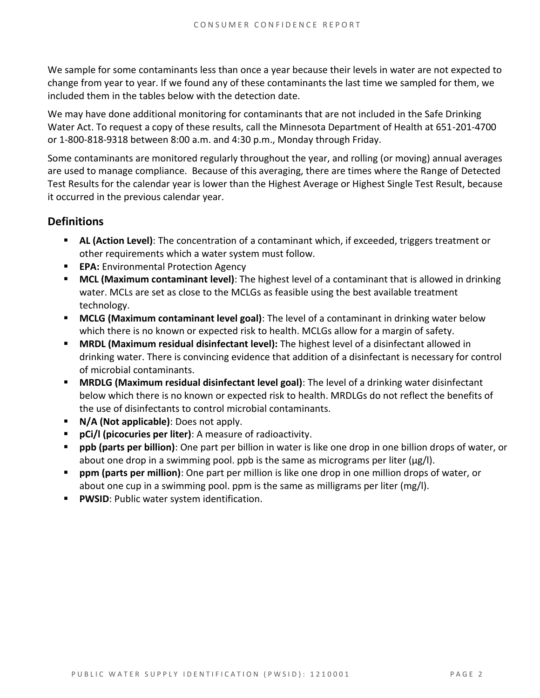We sample for some contaminants less than once a year because their levels in water are not expected to change from year to year. If we found any of these contaminants the last time we sampled for them, we included them in the tables below with the detection date.

We may have done additional monitoring for contaminants that are not included in the Safe Drinking Water Act. To request a copy of these results, call the Minnesota Department of Health at 651-201-4700 or 1-800-818-9318 between 8:00 a.m. and 4:30 p.m., Monday through Friday.

Some contaminants are monitored regularly throughout the year, and rolling (or moving) annual averages are used to manage compliance. Because of this averaging, there are times where the Range of Detected Test Results for the calendar year is lower than the Highest Average or Highest Single Test Result, because it occurred in the previous calendar year.

### **Definitions**

- **AL (Action Level)**: The concentration of a contaminant which, if exceeded, triggers treatment or other requirements which a water system must follow.
- **EPA:** Environmental Protection Agency
- **MCL (Maximum contaminant level)**: The highest level of a contaminant that is allowed in drinking water. MCLs are set as close to the MCLGs as feasible using the best available treatment technology.
- **MCLG (Maximum contaminant level goal)**: The level of a contaminant in drinking water below which there is no known or expected risk to health. MCLGs allow for a margin of safety.
- **MRDL (Maximum residual disinfectant level):** The highest level of a disinfectant allowed in drinking water. There is convincing evidence that addition of a disinfectant is necessary for control of microbial contaminants.
- **MRDLG (Maximum residual disinfectant level goal)**: The level of a drinking water disinfectant below which there is no known or expected risk to health. MRDLGs do not reflect the benefits of the use of disinfectants to control microbial contaminants.
- **N/A (Not applicable)**: Does not apply.
- **pCi/l (picocuries per liter)**: A measure of radioactivity.
- **ppb (parts per billion)**: One part per billion in water is like one drop in one billion drops of water, or about one drop in a swimming pool. ppb is the same as micrograms per liter (μg/l).
- **ppm (parts per million)**: One part per million is like one drop in one million drops of water, or about one cup in a swimming pool. ppm is the same as milligrams per liter (mg/l).
- **PWSID**: Public water system identification.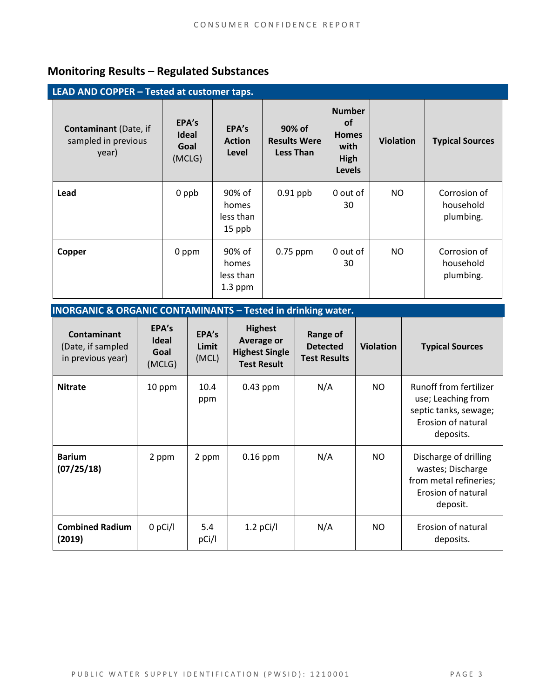# **Monitoring Results – Regulated Substances**

| LEAD AND COPPER - Tested at customer taps.                   |                                         |                                           |                                                   |                                                                             |                  |                                        |  |
|--------------------------------------------------------------|-----------------------------------------|-------------------------------------------|---------------------------------------------------|-----------------------------------------------------------------------------|------------------|----------------------------------------|--|
| <b>Contaminant</b> (Date, if<br>sampled in previous<br>year) | EPA's<br><b>Ideal</b><br>Goal<br>(MCLG) | EPA's<br><b>Action</b><br>Level           | 90% of<br><b>Results Were</b><br><b>Less Than</b> | <b>Number</b><br><b>of</b><br><b>Homes</b><br>with<br>High<br><b>Levels</b> | <b>Violation</b> | <b>Typical Sources</b>                 |  |
| Lead                                                         | 0 ppb                                   | 90% of<br>homes<br>less than<br>15 ppb    | $0.91$ ppb                                        | 0 out of<br>30                                                              | NO               | Corrosion of<br>household<br>plumbing. |  |
| Copper                                                       | 0 ppm                                   | 90% of<br>homes<br>less than<br>$1.3$ ppm | $0.75$ ppm                                        | 0 out of<br>30                                                              | NO.              | Corrosion of<br>household<br>plumbing. |  |

| <b>INORGANIC &amp; ORGANIC CONTAMINANTS - Tested in drinking water.</b> |                                         |                         |                                                                                    |                                                           |                  |                                                                                                          |  |
|-------------------------------------------------------------------------|-----------------------------------------|-------------------------|------------------------------------------------------------------------------------|-----------------------------------------------------------|------------------|----------------------------------------------------------------------------------------------------------|--|
| <b>Contaminant</b><br>(Date, if sampled<br>in previous year)            | EPA's<br><b>Ideal</b><br>Goal<br>(MCLG) | EPA's<br>Limit<br>(MCL) | <b>Highest</b><br><b>Average or</b><br><b>Highest Single</b><br><b>Test Result</b> | <b>Range of</b><br><b>Detected</b><br><b>Test Results</b> | <b>Violation</b> | <b>Typical Sources</b>                                                                                   |  |
| <b>Nitrate</b>                                                          | 10 ppm                                  | 10.4<br>ppm             | $0.43$ ppm                                                                         | N/A                                                       | NO.              | Runoff from fertilizer<br>use; Leaching from<br>septic tanks, sewage;<br>Erosion of natural<br>deposits. |  |
| <b>Barium</b><br>(07/25/18)                                             | 2 ppm                                   | 2 ppm                   | $0.16$ ppm                                                                         | N/A                                                       | NO.              | Discharge of drilling<br>wastes; Discharge<br>from metal refineries;<br>Erosion of natural<br>deposit.   |  |
| <b>Combined Radium</b><br>(2019)                                        | $0$ pCi/l                               | 5.4<br>pCi/l            | $1.2$ pCi/l                                                                        | N/A                                                       | <b>NO</b>        | Erosion of natural<br>deposits.                                                                          |  |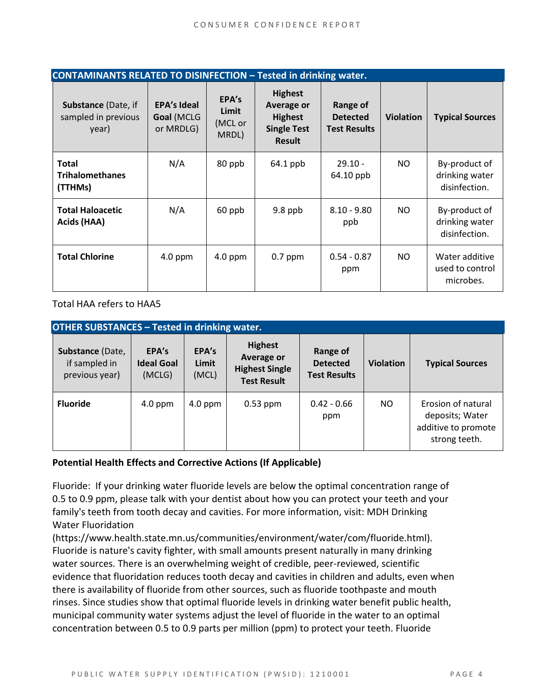| CONTAMINANTS RELATED TO DISINFECTION - Tested in drinking water. |                                               |                                    |                                                                                       |                                                    |                  |                                                  |  |
|------------------------------------------------------------------|-----------------------------------------------|------------------------------------|---------------------------------------------------------------------------------------|----------------------------------------------------|------------------|--------------------------------------------------|--|
| <b>Substance (Date, if</b><br>sampled in previous<br>year)       | <b>EPA's Ideal</b><br>Goal (MCLG<br>or MRDLG) | EPA's<br>Limit<br>(MCL or<br>MRDL) | <b>Highest</b><br>Average or<br><b>Highest</b><br><b>Single Test</b><br><b>Result</b> | Range of<br><b>Detected</b><br><b>Test Results</b> | <b>Violation</b> | <b>Typical Sources</b>                           |  |
| <b>Total</b><br><b>Trihalomethanes</b><br>(TTHMs)                | N/A                                           | 80 ppb                             | 64.1 ppb                                                                              | $29.10 -$<br>64.10 ppb                             | NO.              | By-product of<br>drinking water<br>disinfection. |  |
| <b>Total Haloacetic</b><br>Acids (HAA)                           | N/A                                           | 60 ppb                             | 9.8 ppb                                                                               | $8.10 - 9.80$<br>ppb                               | NO.              | By-product of<br>drinking water<br>disinfection. |  |
| <b>Total Chlorine</b>                                            | $4.0$ ppm                                     | $4.0$ ppm                          | $0.7$ ppm                                                                             | $0.54 - 0.87$<br>ppm                               | NO.              | Water additive<br>used to control<br>microbes.   |  |

Total HAA refers to HAA5

| <b>OTHER SUBSTANCES - Tested in drinking water.</b> |                                      |                         |                                                                                    |                                                    |                  |                                                                               |  |  |
|-----------------------------------------------------|--------------------------------------|-------------------------|------------------------------------------------------------------------------------|----------------------------------------------------|------------------|-------------------------------------------------------------------------------|--|--|
| Substance (Date,<br>if sampled in<br>previous year) | EPA's<br><b>Ideal Goal</b><br>(MCLG) | EPA's<br>Limit<br>(MCL) | <b>Highest</b><br><b>Average or</b><br><b>Highest Single</b><br><b>Test Result</b> | Range of<br><b>Detected</b><br><b>Test Results</b> | <b>Violation</b> | <b>Typical Sources</b>                                                        |  |  |
| <b>Fluoride</b>                                     | $4.0$ ppm                            | $4.0$ ppm               | $0.53$ ppm                                                                         | $0.42 - 0.66$<br>ppm                               | NO.              | Erosion of natural<br>deposits; Water<br>additive to promote<br>strong teeth. |  |  |

#### **Potential Health Effects and Corrective Actions (If Applicable)**

Fluoride: If your drinking water fluoride levels are below the optimal concentration range of 0.5 to 0.9 ppm, please talk with your dentist about how you can protect your teeth and your family's teeth from tooth decay and cavities. For more information, visit: MDH Drinking Water Fluoridation

(https://www.health.state.mn.us/communities/environment/water/com/fluoride.html). Fluoride is nature's cavity fighter, with small amounts present naturally in many drinking water sources. There is an overwhelming weight of credible, peer-reviewed, scientific evidence that fluoridation reduces tooth decay and cavities in children and adults, even when there is availability of fluoride from other sources, such as fluoride toothpaste and mouth rinses. Since studies show that optimal fluoride levels in drinking water benefit public health, municipal community water systems adjust the level of fluoride in the water to an optimal concentration between 0.5 to 0.9 parts per million (ppm) to protect your teeth. Fluoride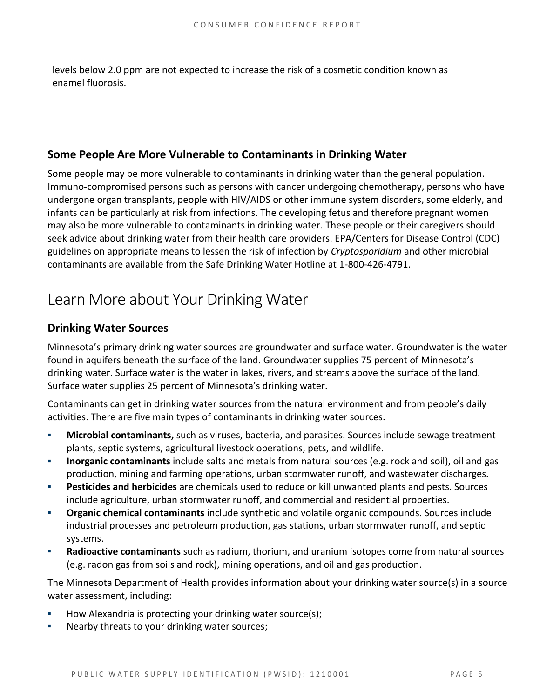levels below 2.0 ppm are not expected to increase the risk of a cosmetic condition known as enamel fluorosis.

### **Some People Are More Vulnerable to Contaminants in Drinking Water**

Some people may be more vulnerable to contaminants in drinking water than the general population. Immuno-compromised persons such as persons with cancer undergoing chemotherapy, persons who have undergone organ transplants, people with HIV/AIDS or other immune system disorders, some elderly, and infants can be particularly at risk from infections. The developing fetus and therefore pregnant women may also be more vulnerable to contaminants in drinking water. These people or their caregivers should seek advice about drinking water from their health care providers. EPA/Centers for Disease Control (CDC) guidelines on appropriate means to lessen the risk of infection by *Cryptosporidium* and other microbial contaminants are available from the Safe Drinking Water Hotline at 1-800-426-4791.

# Learn More about Your Drinking Water

### **Drinking Water Sources**

Minnesota's primary drinking water sources are groundwater and surface water. Groundwater is the water found in aquifers beneath the surface of the land. Groundwater supplies 75 percent of Minnesota's drinking water. Surface water is the water in lakes, rivers, and streams above the surface of the land. Surface water supplies 25 percent of Minnesota's drinking water.

Contaminants can get in drinking water sources from the natural environment and from people's daily activities. There are five main types of contaminants in drinking water sources.

- Microbial contaminants, such as viruses, bacteria, and parasites. Sources include sewage treatment plants, septic systems, agricultural livestock operations, pets, and wildlife.
- **Inorganic contaminants** include salts and metals from natural sources (e.g. rock and soil), oil and gas production, mining and farming operations, urban stormwater runoff, and wastewater discharges.
- **Pesticides and herbicides** are chemicals used to reduce or kill unwanted plants and pests. Sources include agriculture, urban stormwater runoff, and commercial and residential properties.
- **Organic chemical contaminants** include synthetic and volatile organic compounds. Sources include industrial processes and petroleum production, gas stations, urban stormwater runoff, and septic systems.
- Radioactive contaminants such as radium, thorium, and uranium isotopes come from natural sources (e.g. radon gas from soils and rock), mining operations, and oil and gas production.

The Minnesota Department of Health provides information about your drinking water source(s) in a source water assessment, including:

- How Alexandria is protecting your drinking water source(s);
- Nearby threats to your drinking water sources;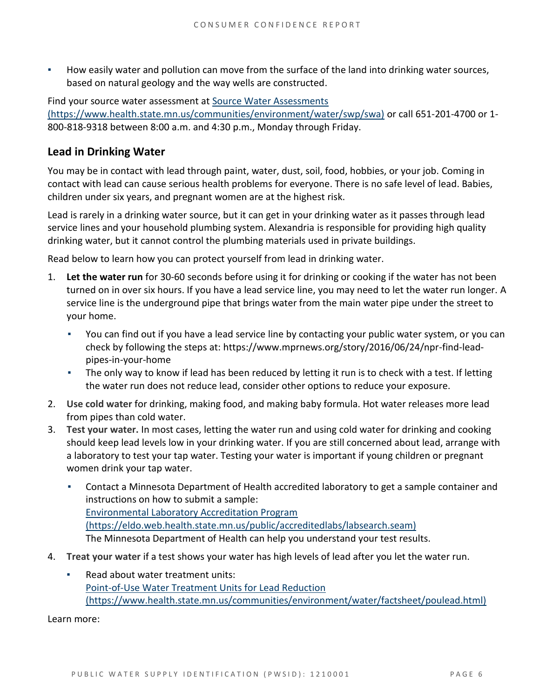How easily water and pollution can move from the surface of the land into drinking water sources, based on natural geology and the way wells are constructed.

Find your source water assessment at [Source Water Assessments](https://www.health.state.mn.us/communities/environment/water/swp/swa) 

[\(https://www.health.state.mn.us/communities/environment/water/swp/swa\)](https://www.health.state.mn.us/communities/environment/water/swp/swa) or call 651-201-4700 or 1- 800-818-9318 between 8:00 a.m. and 4:30 p.m., Monday through Friday.

## **Lead in Drinking Water**

You may be in contact with lead through paint, water, dust, soil, food, hobbies, or your job. Coming in contact with lead can cause serious health problems for everyone. There is no safe level of lead. Babies, children under six years, and pregnant women are at the highest risk.

Lead is rarely in a drinking water source, but it can get in your drinking water as it passes through lead service lines and your household plumbing system. Alexandria is responsible for providing high quality drinking water, but it cannot control the plumbing materials used in private buildings.

Read below to learn how you can protect yourself from lead in drinking water.

- 1. **Let the water run** for 30-60 seconds before using it for drinking or cooking if the water has not been turned on in over six hours. If you have a lead service line, you may need to let the water run longer. A service line is the underground pipe that brings water from the main water pipe under the street to your home.
	- You can find out if you have a lead service line by contacting your public water system, or you can check by following the steps at: [https://www.mprnews.org/story/2016/06/24/npr-find-lead](https://www.mprnews.org/story/2016/06/24/npr-find-lead-pipes-in-your-home)[pipes-in-your-home](https://www.mprnews.org/story/2016/06/24/npr-find-lead-pipes-in-your-home)
	- The only way to know if lead has been reduced by letting it run is to check with a test. If letting the water run does not reduce lead, consider other options to reduce your exposure.
- 2. **Use cold water** for drinking, making food, and making baby formula. Hot water releases more lead from pipes than cold water.
- 3. **Test your water.** In most cases, letting the water run and using cold water for drinking and cooking should keep lead levels low in your drinking water. If you are still concerned about lead, arrange with a laboratory to test your tap water. Testing your water is important if young children or pregnant women drink your tap water.
	- Contact a Minnesota Department of Health accredited laboratory to get a sample container and instructions on how to submit a sample: [Environmental Laboratory Accreditation Program](https://eldo.web.health.state.mn.us/public/accreditedlabs/labsearch.seam)  [\(https://eldo.web.health.state.mn.us/public/accreditedlabs/labsearch.seam\)](https://eldo.web.health.state.mn.us/public/accreditedlabs/labsearch.seam) The Minnesota Department of Health can help you understand your test results.
- 4. **Treat your water** if a test shows your water has high levels of lead after you let the water run.
	- Read about water treatment units: [Point-of-Use Water Treatment Units for Lead Reduction](https://www.health.state.mn.us/communities/environment/water/factsheet/poulead.html)  [\(https://www.health.state.mn.us/communities/environment/water/factsheet/poulead.html\)](https://www.health.state.mn.us/communities/environment/water/factsheet/poulead.html)

Learn more: